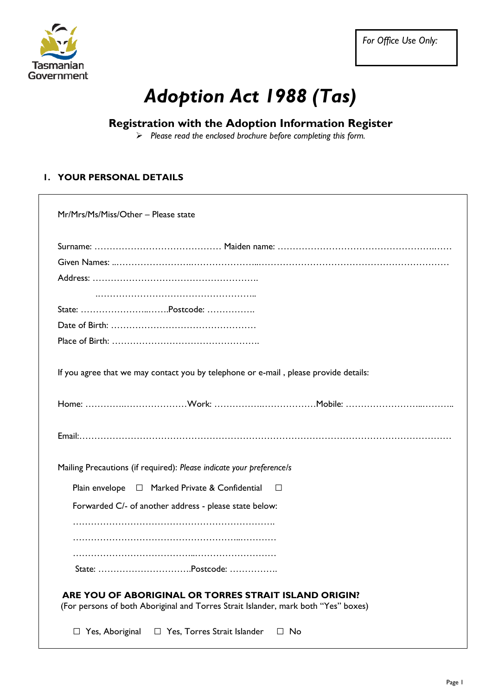

*For Office Use Only:* 

# *Adoption Act 1988 (Tas)*

### **Registration with the Adoption Information Register**

*Please read the enclosed brochure before completing this form.* 

#### **1. YOUR PERSONAL DETAILS**

|          | State: Postcode:                                                                                                                            |
|----------|---------------------------------------------------------------------------------------------------------------------------------------------|
|          |                                                                                                                                             |
|          |                                                                                                                                             |
|          | If you agree that we may contact you by telephone or e-mail, please provide details:                                                        |
|          |                                                                                                                                             |
|          |                                                                                                                                             |
|          | Mailing Precautions (if required): Please indicate your preference/s                                                                        |
|          | Plain envelope □ Marked Private & Confidential<br>$\Box$                                                                                    |
|          | Forwarded C/- of another address - please state below:                                                                                      |
|          |                                                                                                                                             |
|          |                                                                                                                                             |
|          |                                                                                                                                             |
| State: . |                                                                                                                                             |
|          | ARE YOU OF ABORIGINAL OR TORRES STRAIT ISLAND ORIGIN?<br>(For persons of both Aboriginal and Torres Strait Islander, mark both "Yes" boxes) |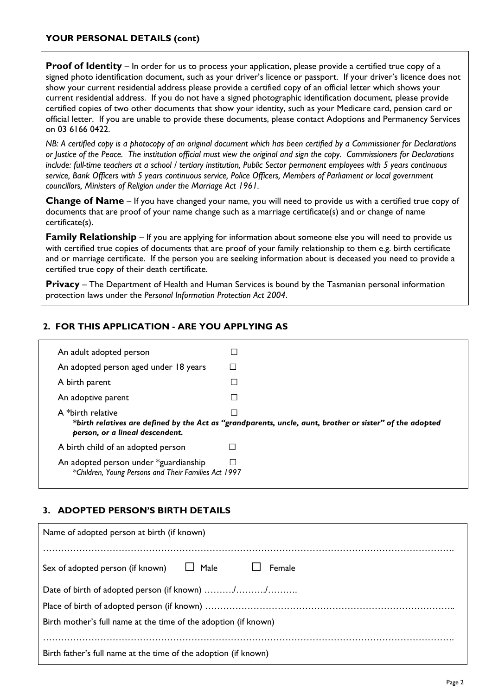#### **YOUR PERSONAL DETAILS (cont)**

**Proof of Identity** – In order for us to process your application, please provide a certified true copy of a signed photo identification document, such as your driver's licence or passport. If your driver's licence does not show your current residential address please provide a certified copy of an official letter which shows your current residential address. If you do not have a signed photographic identification document, please provide certified copies of two other documents that show your identity, such as your Medicare card, pension card or official letter. If you are unable to provide these documents, please contact Adoptions and Permanency Services on 03 6166 0422.

*NB: A certified copy is a photocopy of an original document which has been certified by a Commissioner for Declarations or Justice of the Peace. The institution official must view the original and sign the copy. Commissioners for Declarations include: full-time teachers at a school / tertiary institution, Public Sector permanent employees with 5 years continuous service, Bank Officers with 5 years continuous service, Police Officers, Members of Parliament or local government councillors, Ministers of Religion under the Marriage Act 1961.* 

**Change of Name** – If you have changed your name, you will need to provide us with a certified true copy of documents that are proof of your name change such as a marriage certificate(s) and or change of name certificate(s).

**Family Relationship** – If you are applying for information about someone else you will need to provide us with certified true copies of documents that are proof of your family relationship to them e.g. birth certificate and or marriage certificate. If the person you are seeking information about is deceased you need to provide a certified true copy of their death certificate.

**Privacy** – The Department of Health and Human Services is bound by the Tasmanian personal information protection laws under the *Personal Information Protection Act 2004*.

#### **2. FOR THIS APPLICATION - ARE YOU APPLYING AS**

| An adult adopted person                              |                                                                                                                |
|------------------------------------------------------|----------------------------------------------------------------------------------------------------------------|
| An adopted person aged under 18 years                |                                                                                                                |
| A birth parent                                       |                                                                                                                |
| An adoptive parent                                   |                                                                                                                |
| A *birth relative<br>person, or a lineal descendent. | J.<br>*birth relatives are defined by the Act as "grandparents, uncle, aunt, brother or sister" of the adopted |
| A birth child of an adopted person                   |                                                                                                                |
|                                                      |                                                                                                                |

#### **3. ADOPTED PERSON'S BIRTH DETAILS**

| Name of adopted person at birth (if known)                      |  |  |
|-----------------------------------------------------------------|--|--|
| Male J Female<br>Sex of adopted person (if known)               |  |  |
| Date of birth of adopted person (if known) //                   |  |  |
|                                                                 |  |  |
| Birth mother's full name at the time of the adoption (if known) |  |  |
| Birth father's full name at the time of the adoption (if known) |  |  |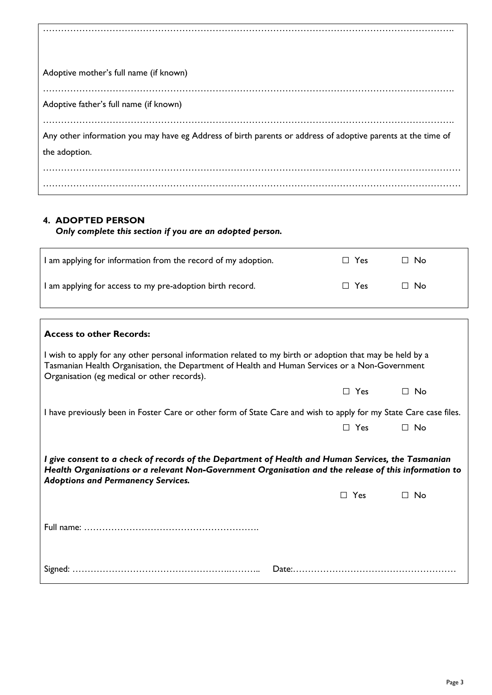| Adoptive mother's full name (if known)                                                                       |
|--------------------------------------------------------------------------------------------------------------|
| Adoptive father's full name (if known)                                                                       |
| Any other information you may have eg Address of birth parents or address of adoptive parents at the time of |
| the adoption.                                                                                                |
|                                                                                                              |

#### **4. ADOPTED PERSON**

#### *Only complete this section if you are an adopted person.*

| I am applying for information from the record of my adoption. | $\Box$ Yes | ∩ No      |
|---------------------------------------------------------------|------------|-----------|
| I am applying for access to my pre-adoption birth record.     | $\Box$ Yes | $\Box$ No |

| <b>Access to other Records:</b>                                                                                                                                                                                                                           |            |           |
|-----------------------------------------------------------------------------------------------------------------------------------------------------------------------------------------------------------------------------------------------------------|------------|-----------|
| I wish to apply for any other personal information related to my birth or adoption that may be held by a<br>Tasmanian Health Organisation, the Department of Health and Human Services or a Non-Government<br>Organisation (eg medical or other records). |            |           |
|                                                                                                                                                                                                                                                           | $\Box$ Yes | $\Box$ No |
| I have previously been in Foster Care or other form of State Care and wish to apply for my State Care case files.                                                                                                                                         |            |           |
|                                                                                                                                                                                                                                                           | $\Box$ Yes | $\Box$ No |
| I give consent to a check of records of the Department of Health and Human Services, the Tasmanian<br>Health Organisations or a relevant Non-Government Organisation and the release of this information to<br><b>Adoptions and Permanency Services.</b>  | $\Box$ Yes | ⊟ No      |
|                                                                                                                                                                                                                                                           |            |           |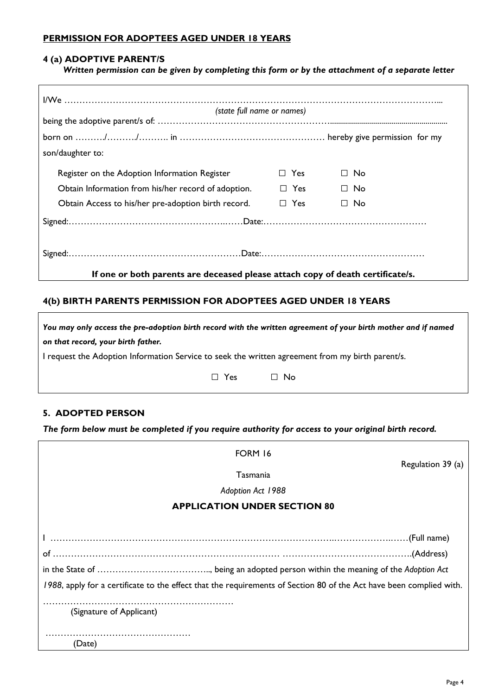#### **PERMISSION FOR ADOPTEES AGED UNDER 18 YEARS**

#### **4 (a) ADOPTIVE PARENT/S**

*Written permission can be given by completing this form or by the attachment of a separate letter* 

| (state full name or names)                                                     |            |           |
|--------------------------------------------------------------------------------|------------|-----------|
|                                                                                |            |           |
|                                                                                |            |           |
| son/daughter to:                                                               |            |           |
| Register on the Adoption Information Register                                  | $\Box$ Yes | $\Box$ No |
| Obtain Information from his/her record of adoption.                            | $\Box$ Yes | $\Box$ No |
| Obtain Access to his/her pre-adoption birth record.                            | $\Box$ Yes | $\Box$ No |
|                                                                                |            |           |
|                                                                                |            |           |
|                                                                                |            |           |
| If one or both parents are deceased please attach copy of death certificate/s. |            |           |

#### **4(b) BIRTH PARENTS PERMISSION FOR ADOPTEES AGED UNDER 18 YEARS**

*You may only access the pre-adoption birth record with the written agreement of your birth mother and if named on that record, your birth father.*  I request the Adoption Information Service to seek the written agreement from my birth parent/s.

□ Yes □ No

#### **5. ADOPTED PERSON**

*The form below must be completed if you require authority for access to your original birth record.* 

| <b>FORM 16</b><br>Regulation 39 (a)                                                                                 |  |
|---------------------------------------------------------------------------------------------------------------------|--|
| Tasmania                                                                                                            |  |
| Adoption Act 1988                                                                                                   |  |
| <b>APPLICATION UNDER SECTION 80</b>                                                                                 |  |
|                                                                                                                     |  |
| (Full name). (Full name)                                                                                            |  |
|                                                                                                                     |  |
|                                                                                                                     |  |
| 1988, apply for a certificate to the effect that the requirements of Section 80 of the Act have been complied with. |  |
| (Signature of Applicant)                                                                                            |  |
| (Date)                                                                                                              |  |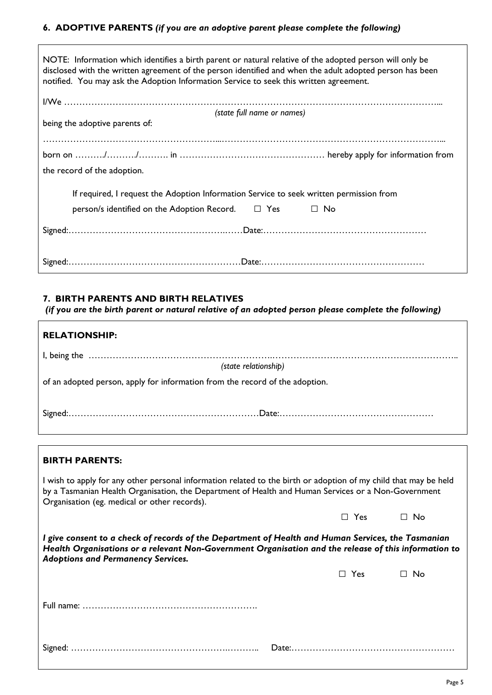#### **6. ADOPTIVE PARENTS** *(if you are an adoptive parent please complete the following)*

| NOTE: Information which identifies a birth parent or natural relative of the adopted person will only be<br>disclosed with the written agreement of the person identified and when the adult adopted person has been<br>notified. You may ask the Adoption Information Service to seek this written agreement. |  |  |
|----------------------------------------------------------------------------------------------------------------------------------------------------------------------------------------------------------------------------------------------------------------------------------------------------------------|--|--|
|                                                                                                                                                                                                                                                                                                                |  |  |
| (state full name or names)                                                                                                                                                                                                                                                                                     |  |  |
| being the adoptive parents of:                                                                                                                                                                                                                                                                                 |  |  |
|                                                                                                                                                                                                                                                                                                                |  |  |
|                                                                                                                                                                                                                                                                                                                |  |  |
| the record of the adoption.                                                                                                                                                                                                                                                                                    |  |  |
|                                                                                                                                                                                                                                                                                                                |  |  |
| If required, I request the Adoption Information Service to seek written permission from                                                                                                                                                                                                                        |  |  |
| $person/s$ identified on the Adoption Record. $\square$ Yes<br>$\Box$ No                                                                                                                                                                                                                                       |  |  |
|                                                                                                                                                                                                                                                                                                                |  |  |
|                                                                                                                                                                                                                                                                                                                |  |  |
|                                                                                                                                                                                                                                                                                                                |  |  |
|                                                                                                                                                                                                                                                                                                                |  |  |
|                                                                                                                                                                                                                                                                                                                |  |  |

#### **7. BIRTH PARENTS AND BIRTH RELATIVES**

 $\Gamma$ 

*(if you are the birth parent or natural relative of an adopted person please complete the following)* 

| <b>RELATIONSHIP:</b>                                                         |
|------------------------------------------------------------------------------|
|                                                                              |
| (state relationship)                                                         |
| of an adopted person, apply for information from the record of the adoption. |
|                                                                              |

| <b>BIRTH PARENTS:</b>                                                                                                                                                                                                                                                   |            |           |
|-------------------------------------------------------------------------------------------------------------------------------------------------------------------------------------------------------------------------------------------------------------------------|------------|-----------|
| I wish to apply for any other personal information related to the birth or adoption of my child that may be held<br>by a Tasmanian Health Organisation, the Department of Health and Human Services or a Non-Government<br>Organisation (eg. medical or other records). |            |           |
|                                                                                                                                                                                                                                                                         | $\Box$ Yes | $\Box$ No |
| l give consent to a check of records of the Department of Health and Human Services, the Tasmanian<br>Health Organisations or a relevant Non-Government Organisation and the release of this information to<br><b>Adoptions and Permanency Services.</b>                |            |           |
|                                                                                                                                                                                                                                                                         | $\Box$ Yes | $\Box$ No |
|                                                                                                                                                                                                                                                                         |            |           |
|                                                                                                                                                                                                                                                                         |            |           |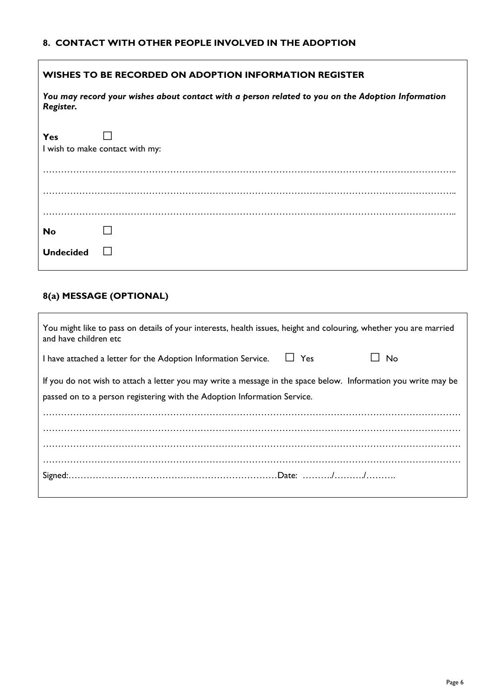#### **8. CONTACT WITH OTHER PEOPLE INVOLVED IN THE ADOPTION**

| WISHES TO BE RECORDED ON ADOPTION INFORMATION REGISTER |                                                                                                   |  |
|--------------------------------------------------------|---------------------------------------------------------------------------------------------------|--|
| Register.                                              | You may record your wishes about contact with a person related to you on the Adoption Information |  |
| Yes                                                    | I wish to make contact with my:                                                                   |  |
|                                                        |                                                                                                   |  |
| <b>No</b>                                              |                                                                                                   |  |
| <b>Undecided</b>                                       |                                                                                                   |  |

# **8(a) MESSAGE (OPTIONAL)**

| You might like to pass on details of your interests, health issues, height and colouring, whether you are married<br>and have children etc                                                 |  |
|--------------------------------------------------------------------------------------------------------------------------------------------------------------------------------------------|--|
| □ □ Yes<br>∐ No<br>I have attached a letter for the Adoption Information Service.                                                                                                          |  |
| If you do not wish to attach a letter you may write a message in the space below. Information you write may be<br>passed on to a person registering with the Adoption Information Service. |  |
|                                                                                                                                                                                            |  |
|                                                                                                                                                                                            |  |
|                                                                                                                                                                                            |  |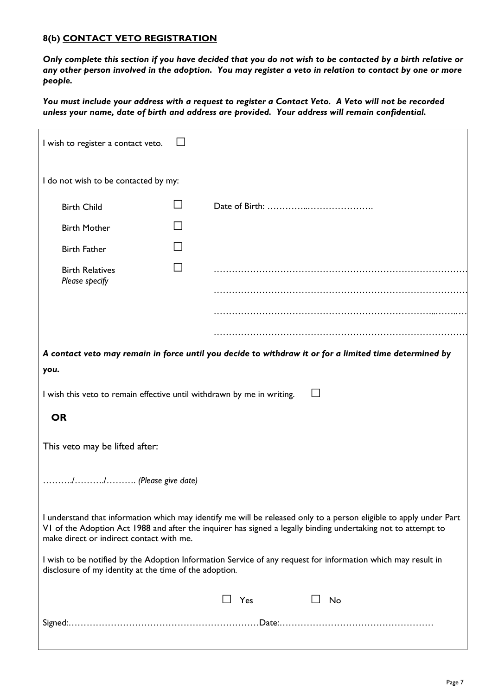#### **8(b) CONTACT VETO REGISTRATION**

*Only complete this section if you have decided that you do not wish to be contacted by a birth relative or any other person involved in the adoption. You may register a veto in relation to contact by one or more people.* 

*You must include your address with a request to register a Contact Veto. A Veto will not be recorded unless your name, date of birth and address are provided. Your address will remain confidential.* 

| I wish to register a contact veto.                                                                                                                                                                                                                                              |  |                                                                                                        |  |
|---------------------------------------------------------------------------------------------------------------------------------------------------------------------------------------------------------------------------------------------------------------------------------|--|--------------------------------------------------------------------------------------------------------|--|
| I do not wish to be contacted by my:                                                                                                                                                                                                                                            |  |                                                                                                        |  |
| <b>Birth Child</b>                                                                                                                                                                                                                                                              |  |                                                                                                        |  |
| <b>Birth Mother</b>                                                                                                                                                                                                                                                             |  |                                                                                                        |  |
| <b>Birth Father</b>                                                                                                                                                                                                                                                             |  |                                                                                                        |  |
| <b>Birth Relatives</b><br>Please specify                                                                                                                                                                                                                                        |  |                                                                                                        |  |
|                                                                                                                                                                                                                                                                                 |  |                                                                                                        |  |
|                                                                                                                                                                                                                                                                                 |  |                                                                                                        |  |
| you.                                                                                                                                                                                                                                                                            |  | A contact veto may remain in force until you decide to withdraw it or for a limited time determined by |  |
| I wish this veto to remain effective until withdrawn by me in writing.                                                                                                                                                                                                          |  |                                                                                                        |  |
| <b>OR</b>                                                                                                                                                                                                                                                                       |  |                                                                                                        |  |
| This veto may be lifted after:                                                                                                                                                                                                                                                  |  |                                                                                                        |  |
| // (Please give date)                                                                                                                                                                                                                                                           |  |                                                                                                        |  |
| I understand that information which may identify me will be released only to a person eligible to apply under Part<br>VI of the Adoption Act 1988 and after the inquirer has signed a legally binding undertaking not to attempt to<br>make direct or indirect contact with me. |  |                                                                                                        |  |
| I wish to be notified by the Adoption Information Service of any request for information which may result in<br>disclosure of my identity at the time of the adoption.                                                                                                          |  |                                                                                                        |  |
|                                                                                                                                                                                                                                                                                 |  | ⊿ Yes<br>No                                                                                            |  |
|                                                                                                                                                                                                                                                                                 |  |                                                                                                        |  |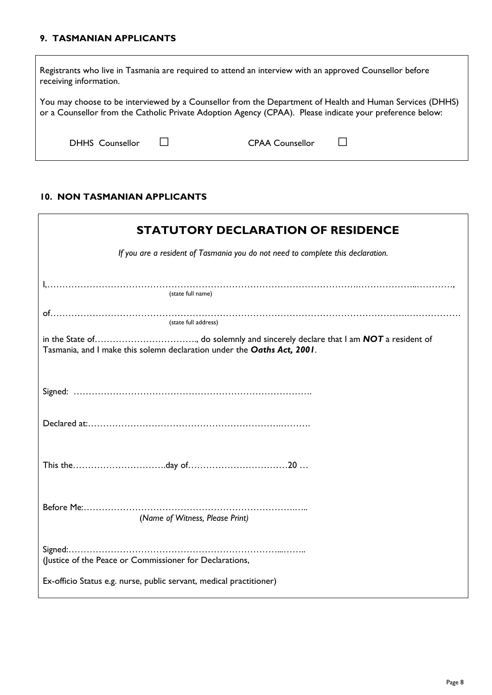#### **9. TASMANIAN APPLICANTS**

| Registrants who live in Tasmania are required to attend an interview with an approved Counsellor before<br>receiving information.                                                                                    |  |                        |  |
|----------------------------------------------------------------------------------------------------------------------------------------------------------------------------------------------------------------------|--|------------------------|--|
| You may choose to be interviewed by a Counsellor from the Department of Health and Human Services (DHHS)<br>or a Counsellor from the Catholic Private Adoption Agency (CPAA). Please indicate your preference below: |  |                        |  |
| <b>DHHS</b> Counsellor                                                                                                                                                                                               |  | <b>CPAA Counsellor</b> |  |

#### **10. NON TASMANIAN APPLICANTS**

| <b>STATUTORY DECLARATION OF RESIDENCE</b>                                       |
|---------------------------------------------------------------------------------|
| If you are a resident of Tasmania you do not need to complete this declaration. |
| (state full name)                                                               |
| (state full address)                                                            |
| Tasmania, and I make this solemn declaration under the Oaths Act, 2001.         |
|                                                                                 |
|                                                                                 |
|                                                                                 |
|                                                                                 |
| (Name of Witness, Please Print)                                                 |
| (Justice of the Peace or Commissioner for Declarations,                         |
| Ex-officio Status e.g. nurse, public servant, medical practitioner)             |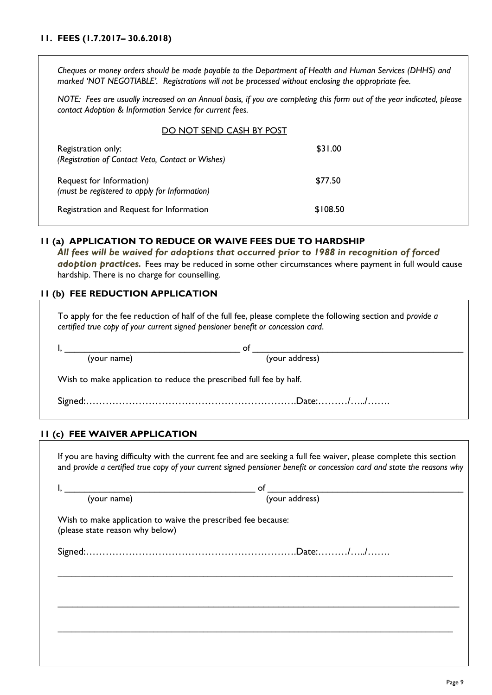#### **11. FEES (1.7.2017– 30.6.2018)**

*Cheques or money orders should be made payable to the Department of Health and Human Services (DHHS) and marked 'NOT NEGOTIABLE'. Registrations will not be processed without enclosing the appropriate fee.* 

*NOTE: Fees are usually increased on an Annual basis, if you are completing this form out of the year indicated, please contact Adoption & Information Service for current fees.* 

#### DO NOT SEND CASH BY POST

| Registration only:<br>(Registration of Contact Veto, Contact or Wishes)   | \$31.00  |
|---------------------------------------------------------------------------|----------|
| Request for Information)<br>(must be registered to apply for Information) | \$77.50  |
| Registration and Request for Information                                  | \$108.50 |

#### **11 (a) APPLICATION TO REDUCE OR WAIVE FEES DUE TO HARDSHIP**

*All fees will be waived for adoptions that occurred prior to 1988 in recognition of forced adoption practices.* Fees may be reduced in some other circumstances where payment in full would cause hardship. There is no charge for counselling.

#### **11 (b) FEE REDUCTION APPLICATION**

To apply for the fee reduction of half of the full fee, please complete the following section and *provide a certified true copy of your current signed pensioner benefit or concession card*.

|                                                                     | Ωt             |  |  |
|---------------------------------------------------------------------|----------------|--|--|
| (your name)                                                         | (your address) |  |  |
| Wish to make application to reduce the prescribed full fee by half. |                |  |  |
|                                                                     |                |  |  |

#### **11 (c) FEE WAIVER APPLICATION**

If you are having difficulty with the current fee and are seeking a full fee waiver, please complete this section and *provide a certified true copy of your current signed pensioner benefit or concession card and state the reasons why*

| (your name)                                                                                      | of<br>(your address) |
|--------------------------------------------------------------------------------------------------|----------------------|
| Wish to make application to waive the prescribed fee because:<br>(please state reason why below) |                      |
|                                                                                                  |                      |
|                                                                                                  |                      |
|                                                                                                  |                      |
|                                                                                                  |                      |
|                                                                                                  |                      |
|                                                                                                  |                      |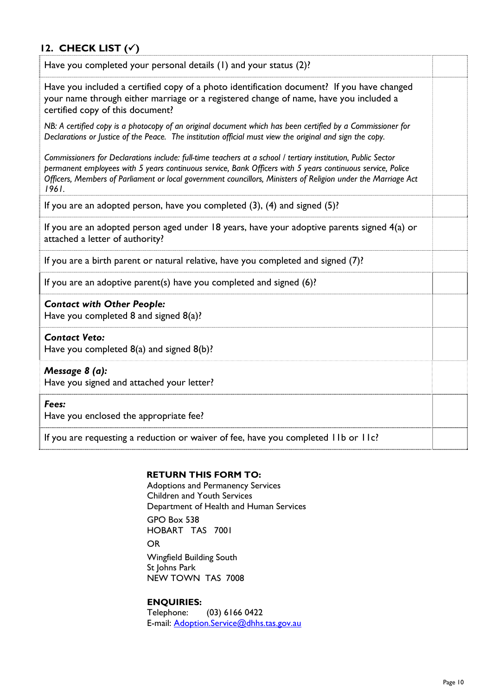## **12. CHECK LIST ()**

| Have you completed your personal details (1) and your status (2)?                                                                                                                                                                                                                                                                                    |  |
|------------------------------------------------------------------------------------------------------------------------------------------------------------------------------------------------------------------------------------------------------------------------------------------------------------------------------------------------------|--|
| Have you included a certified copy of a photo identification document? If you have changed<br>your name through either marriage or a registered change of name, have you included a<br>certified copy of this document?                                                                                                                              |  |
| NB: A certified copy is a photocopy of an original document which has been certified by a Commissioner for<br>Declarations or Justice of the Peace. The institution official must view the original and sign the copy.                                                                                                                               |  |
| Commissioners for Declarations include: full-time teachers at a school / tertiary institution, Public Sector<br>permanent employees with 5 years continuous service, Bank Officers with 5 years continuous service, Police<br>Officers, Members of Parliament or local government councillors, Ministers of Religion under the Marriage Act<br>1961. |  |
| If you are an adopted person, have you completed $(3)$ , $(4)$ and signed $(5)$ ?                                                                                                                                                                                                                                                                    |  |
| If you are an adopted person aged under 18 years, have your adoptive parents signed 4(a) or<br>attached a letter of authority?                                                                                                                                                                                                                       |  |
| If you are a birth parent or natural relative, have you completed and signed (7)?                                                                                                                                                                                                                                                                    |  |
| If you are an adoptive parent(s) have you completed and signed $(6)$ ?                                                                                                                                                                                                                                                                               |  |
| <b>Contact with Other People:</b><br>Have you completed 8 and signed 8(a)?                                                                                                                                                                                                                                                                           |  |
| <b>Contact Veto:</b><br>Have you completed $8(a)$ and signed $8(b)$ ?                                                                                                                                                                                                                                                                                |  |
| Message 8 (a):<br>Have you signed and attached your letter?                                                                                                                                                                                                                                                                                          |  |
| Fees:<br>Have you enclosed the appropriate fee?                                                                                                                                                                                                                                                                                                      |  |
| If you are requesting a reduction or waiver of fee, have you completed IIb or IIc?                                                                                                                                                                                                                                                                   |  |

#### **RETURN THIS FORM TO:**

Adoptions and Permanency Services Children and Youth Services Department of Health and Human Services GPO Box 538 HOBART TAS 7001 OR Wingfield Building South St Johns Park NEW TOWN TAS 7008

**ENQUIRIES:**  Telephone: (03) 6166 0422 E-mail: Adoption.Service@dhhs.tas.gov.au